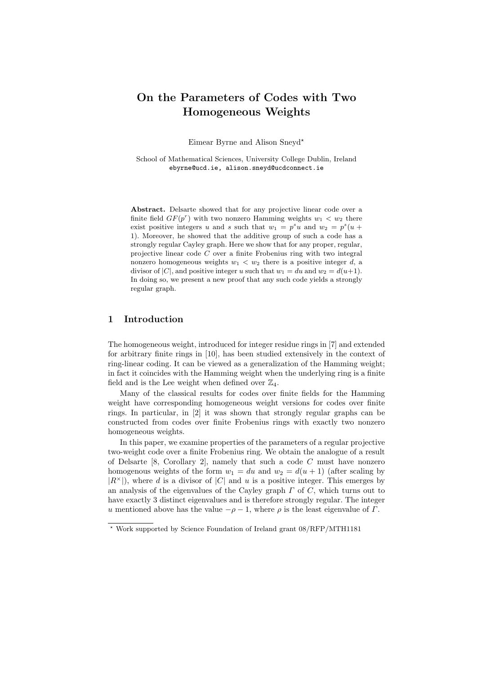# On the Parameters of Codes with Two Homogeneous Weights

Eimear Byrne and Alison Sneyd<sup>\*</sup>

School of Mathematical Sciences, University College Dublin, Ireland ebyrne@ucd.ie, alison.sneyd@ucdconnect.ie

Abstract. Delsarte showed that for any projective linear code over a finite field  $GF(p^r)$  with two nonzero Hamming weights  $w_1 < w_2$  there exist positive integers u and s such that  $w_1 = p^s u$  and  $w_2 = p^s (u +$ 1). Moreover, he showed that the additive group of such a code has a strongly regular Cayley graph. Here we show that for any proper, regular, projective linear code C over a finite Frobenius ring with two integral nonzero homogeneous weights  $w_1 < w_2$  there is a positive integer d, a divisor of |C|, and positive integer u such that  $w_1 = du$  and  $w_2 = d(u+1)$ . In doing so, we present a new proof that any such code yields a strongly regular graph.

# 1 Introduction

The homogeneous weight, introduced for integer residue rings in [7] and extended for arbitrary finite rings in [10], has been studied extensively in the context of ring-linear coding. It can be viewed as a generalization of the Hamming weight; in fact it coincides with the Hamming weight when the underlying ring is a finite field and is the Lee weight when defined over  $\mathbb{Z}_4$ .

Many of the classical results for codes over finite fields for the Hamming weight have corresponding homogeneous weight versions for codes over finite rings. In particular, in [2] it was shown that strongly regular graphs can be constructed from codes over finite Frobenius rings with exactly two nonzero homogeneous weights.

In this paper, we examine properties of the parameters of a regular projective two-weight code over a finite Frobenius ring. We obtain the analogue of a result of Delsarte [8, Corollary 2], namely that such a code C must have nonzero homogenous weights of the form  $w_1 = du$  and  $w_2 = d(u + 1)$  (after scaling by  $|R^{\times}|$ , where d is a divisor of |C| and u is a positive integer. This emerges by an analysis of the eigenvalues of the Cayley graph  $\Gamma$  of  $C$ , which turns out to have exactly 3 distinct eigenvalues and is therefore strongly regular. The integer u mentioned above has the value  $-\rho - 1$ , where  $\rho$  is the least eigenvalue of  $\Gamma$ .

<sup>⋆</sup> Work supported by Science Foundation of Ireland grant 08/RFP/MTH1181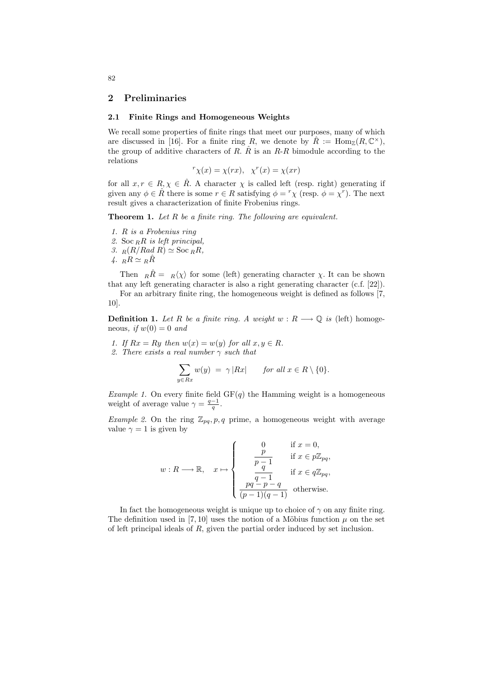# 2 Preliminaries

#### 2.1 Finite Rings and Homogeneous Weights

We recall some properties of finite rings that meet our purposes, many of which are discussed in [16]. For a finite ring R, we denote by  $\hat{R} := \text{Hom}_{\mathbb{Z}}(R, \mathbb{C}^{\times}),$ the group of additive characters of R.  $\hat{R}$  is an R-R bimodule according to the relations

$$
{}^{r}\chi(x) = \chi(rx), \ \ \chi^{r}(x) = \chi(xr)
$$

for all  $x, r \in R$ ,  $\chi \in R$ . A character  $\chi$  is called left (resp. right) generating if given any  $\phi \in \hat{R}$  there is some  $r \in R$  satisfying  $\phi = {r \choose \lambda}$  (resp.  $\phi = \chi^{r}$ ). The next result gives a characterization of finite Frobenius rings.

**Theorem 1.** Let  $R$  be a finite ring. The following are equivalent.

- 1. R is a Frobenius ring
- 2. Soc  $_R R$  is left principal,
- 3.  $_R(R/Rad R) \simeq$  Soc  $_RR$ ,
- 4.  $_RR \simeq R\hat{R}$

Then  $_R\hat{R} = R\langle \chi \rangle$  for some (left) generating character  $\chi$ . It can be shown that any left generating character is also a right generating character (c.f. [22]).

For an arbitrary finite ring, the homogeneous weight is defined as follows [7, 10].

**Definition 1.** Let R be a finite ring. A weight  $w : R \longrightarrow \mathbb{Q}$  is (left) homogeneous, if  $w(0) = 0$  and

1. If  $Rx = Ry$  then  $w(x) = w(y)$  for all  $x, y \in R$ .

2. There exists a real number  $\gamma$  such that

$$
\sum_{y \in Rx} w(y) = \gamma |Rx| \quad \text{for all } x \in R \setminus \{0\}.
$$

Example 1. On every finite field  $GF(q)$  the Hamming weight is a homogeneous weight of average value  $\gamma = \frac{q-1}{q}$ .

*Example 2.* On the ring  $\mathbb{Z}_{pq}, p, q$  prime, a homogeneous weight with average value  $\gamma = 1$  is given by

$$
w: R \longrightarrow \mathbb{R}, \quad x \mapsto \begin{cases} 0 & \text{if } x = 0, \\ \frac{p}{p-1} & \text{if } x \in p\mathbb{Z}_{pq}, \\ \frac{q-1}{q-1} & \text{if } x \in q\mathbb{Z}_{pq}, \\ \frac{pq-p-q}{(p-1)(q-1)} & \text{otherwise.} \end{cases}
$$

In fact the homogeneous weight is unique up to choice of  $\gamma$  on any finite ring. The definition used in [7, 10] uses the notion of a Möbius function  $\mu$  on the set of left principal ideals of R, given the partial order induced by set inclusion.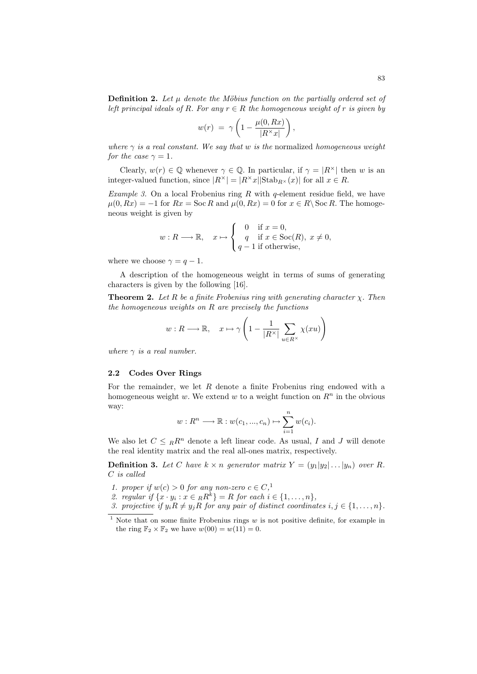$$
w(r) = \gamma \left( 1 - \frac{\mu(0, Rx)}{|R^{\times}x|} \right),
$$

where  $\gamma$  is a real constant. We say that w is the normalized homogeneous weight for the case  $\gamma = 1$ .

Clearly,  $w(r) \in \mathbb{Q}$  whenever  $\gamma \in \mathbb{Q}$ . In particular, if  $\gamma = |R^{\times}|$  then w is an integer-valued function, since  $|R^{\times}| = |R^{\times}x||\text{Stab}_{R^{\times}}(x)|$  for all  $x \in R$ .

*Example 3.* On a local Frobenius ring  $R$  with  $q$ -element residue field, we have  $\mu(0, Rx) = -1$  for  $Rx = \text{Soc } R$  and  $\mu(0, Rx) = 0$  for  $x \in R \backslash \text{Soc } R$ . The homogeneous weight is given by

$$
w: R \longrightarrow \mathbb{R}, \quad x \mapsto \begin{cases} 0 & \text{if } x = 0, \\ q & \text{if } x \in \text{Soc}(R), \ x \neq 0, \\ q - 1 & \text{if otherwise,} \end{cases}
$$

where we choose  $\gamma = q - 1$ .

A description of the homogeneous weight in terms of sums of generating characters is given by the following [16].

**Theorem 2.** Let R be a finite Frobenius ring with generating character  $\chi$ . Then the homogeneous weights on  $R$  are precisely the functions

$$
w: R \longrightarrow \mathbb{R}, \quad x \mapsto \gamma \left(1 - \frac{1}{|R^{\times}|} \sum_{u \in R^{\times}} \chi(xu)\right)
$$

where  $\gamma$  is a real number.

# 2.2 Codes Over Rings

For the remainder, we let  $R$  denote a finite Frobenius ring endowed with a homogeneous weight w. We extend w to a weight function on  $R<sup>n</sup>$  in the obvious way:

$$
w: R^n \longrightarrow \mathbb{R}: w(c_1, ..., c_n) \mapsto \sum_{i=1}^n w(c_i).
$$

We also let  $C \leq_R R^n$  denote a left linear code. As usual, I and J will denote the real identity matrix and the real all-ones matrix, respectively.

**Definition 3.** Let C have  $k \times n$  generator matrix  $Y = (y_1|y_2| \dots |y_n)$  over R. C is called

- 1. proper if  $w(c) > 0$  for any non-zero  $c \in C$ ,<sup>1</sup>
- 2. regular if  $\{x \cdot y_i : x \in_R R^k\} = R$  for each  $i \in \{1, \ldots, n\}$ ,
- 3. projective if  $y_i R \neq y_j R$  for any pair of distinct coordinates  $i, j \in \{1, \ldots, n\}.$

<sup>&</sup>lt;sup>1</sup> Note that on some finite Frobenius rings  $w$  is not positive definite, for example in the ring  $\mathbb{F}_2 \times \mathbb{F}_2$  we have  $w(00) = w(11) = 0$ .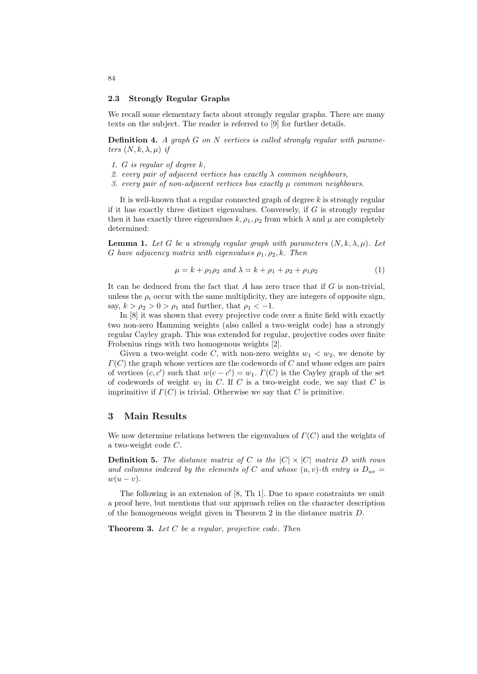#### 2.3 Strongly Regular Graphs

We recall some elementary facts about strongly regular graphs. There are many texts on the subject. The reader is referred to [9] for further details.

**Definition 4.** A graph  $G$  on  $N$  vertices is called strongly regular with parameters  $(N, k, \lambda, \mu)$  if

- 1. G is regular of degree k,
- 2. every pair of adjacent vertices has exactly  $\lambda$  common neighbours,
- 3. every pair of non-adjacent vertices has exactly  $\mu$  common neighbours.

It is well-known that a regular connected graph of degree  $k$  is strongly regular if it has exactly three distinct eigenvalues. Conversely, if  $G$  is strongly regular then it has exactly three eigenvalues  $k, \rho_1, \rho_2$  from which  $\lambda$  and  $\mu$  are completely determined:

**Lemma 1.** Let G be a strongly regular graph with parameters  $(N, k, \lambda, \mu)$ . Let G have adjacency matrix with eigenvalues  $\rho_1, \rho_2, k$ . Then

$$
\mu = k + \rho_1 \rho_2 \text{ and } \lambda = k + \rho_1 + \rho_2 + \rho_1 \rho_2 \tag{1}
$$

It can be deduced from the fact that  $A$  has zero trace that if  $G$  is non-trivial, unless the  $\rho_i$  occur with the same multiplicity, they are integers of opposite sign, say,  $k > \rho_2 > 0 > \rho_1$  and further, that  $\rho_1 < -1$ .

In  $[8]$  it was shown that every projective code over a finite field with exactly two non-zero Hamming weights (also called a two-weight code) has a strongly regular Cayley graph. This was extended for regular, projective codes over finite Frobenius rings with two homogenous weights [2].

Given a two-weight code C, with non-zero weights  $w_1 < w_2$ , we denote by  $\Gamma(C)$  the graph whose vertices are the codewords of C and whose edges are pairs of vertices  $(c, c')$  such that  $w(c - c') = w_1$ .  $\Gamma(C)$  is the Cayley graph of the set of codewords of weight  $w_1$  in C. If C is a two-weight code, we say that C is imprimitive if  $\Gamma(C)$  is trivial. Otherwise we say that C is primitive.

# 3 Main Results

We now determine relations between the eigenvalues of  $\Gamma(C)$  and the weights of a two-weight code C.

**Definition 5.** The distance matrix of C is the  $|C| \times |C|$  matrix D with rows and columns indexed by the elements of C and whose  $(u, v)$ -th entry is  $D_{uv} =$  $w(u - v)$ .

The following is an extension of [8, Th 1]. Due to space constraints we omit a proof here, but mentions that our approach relies on the character description of the homogeneous weight given in Theorem 2 in the distance matrix D.

**Theorem 3.** Let  $C$  be a regular, projective code. Then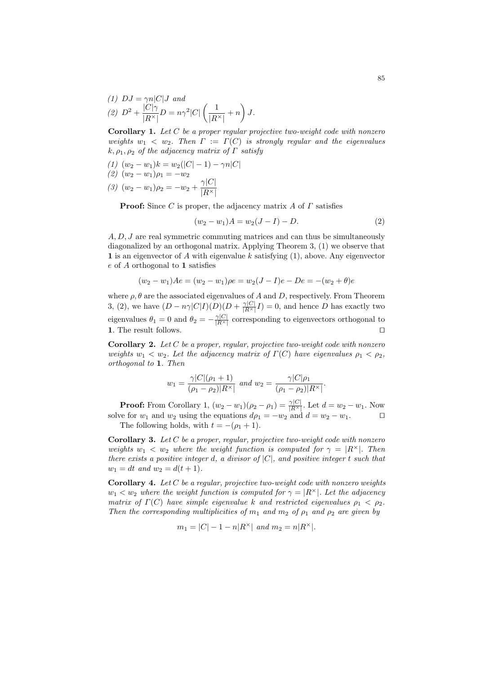(1) 
$$
DJ = \gamma n |C|J \text{ and}
$$
  
(2) 
$$
D^2 + \frac{|C|\gamma}{|R^{\times}|}D = n\gamma^2 |C| \left(\frac{1}{|R^{\times}|} + n\right) J.
$$

**Corollary 1.** Let  $C$  be a proper regular projective two-weight code with nonzero weights  $w_1 < w_2$ . Then  $\Gamma := \Gamma(C)$  is strongly regular and the eigenvalues  $k, \rho_1, \rho_2$  of the adjacency matrix of  $\Gamma$  satisfy

(1) 
$$
(w_2 - w_1)k = w_2(|C| - 1) - \gamma n|C|
$$
  
(2)  $(w_2 - w_1)\rho_1 = -w_2$ 

(3)  $(w_2 - w_1)\rho_2 = -w_2 + \frac{\gamma|C|}{|D|}$  $|R^{\times}|$ 

**Proof:** Since C is proper, the adjacency matrix A of  $\Gamma$  satisfies

$$
(w_2 - w_1)A = w_2(J - I) - D.
$$
 (2)

 $A, D, J$  are real symmetric commuting matrices and can thus be simultaneously diagonalized by an orthogonal matrix. Applying Theorem 3, (1) we observe that 1 is an eigenvector of A with eigenvalue  $k$  satisfying  $(1)$ , above. Any eigenvector e of A orthogonal to 1 satisfies

$$
(w_2 - w_1)Ae = (w_2 - w_1)\rho e = w_2(J - I)e - De = -(w_2 + \theta)e
$$

where  $\rho$ ,  $\theta$  are the associated eigenvalues of A and D, respectively. From Theorem 3, (2), we have  $(D - n\gamma |C|I)(D)(D + \frac{\gamma |C|}{|R^{\times}|}I) = 0$ , and hence D has exactly two eigenvalues  $\theta_1 = 0$  and  $\theta_2 = -\frac{\gamma |C|}{|R^{\times}|}$  corresponding to eigenvectors orthogonal to 1. The result follows. ⊓⊔

**Corollary 2.** Let  $C$  be a proper, regular, projective two-weight code with nonzero weights  $w_1 < w_2$ . Let the adjacency matrix of  $\Gamma(C)$  have eigenvalues  $\rho_1 < \rho_2$ , orthogonal to 1. Then

$$
w_1 = \frac{\gamma |C| (\rho_1 + 1)}{(\rho_1 - \rho_2)|R^{\times}|} \text{ and } w_2 = \frac{\gamma |C|\rho_1}{(\rho_1 - \rho_2)|R^{\times}|}.
$$

**Proof:** From Corollary 1,  $(w_2 - w_1)(\rho_2 - \rho_1) = \frac{\gamma |C|}{|R^{\times}|}$ . Let  $d = w_2 - w_1$ . Now solve for  $w_1$  and  $w_2$  using the equations  $d\rho_1 = -w_2$  and  $d = w_2 - w_1$ . □

The following holds, with  $t = -(\rho_1 + 1)$ .

**Corollary 3.** Let  $C$  be a proper, regular, projective two-weight code with nonzero weights  $w_1 < w_2$  where the weight function is computed for  $\gamma = |R^{\times}|$ . Then there exists a positive integer d, a divisor of  $|C|$ , and positive integer t such that  $w_1 = dt$  and  $w_2 = d(t + 1)$ .

**Corollary 4.** Let  $C$  be a regular, projective two-weight code with nonzero weights  $w_1 < w_2$  where the weight function is computed for  $\gamma = |R^{\times}|$ . Let the adjacency matrix of  $\Gamma(C)$  have simple eigenvalue k and restricted eigenvalues  $\rho_1 < \rho_2$ . Then the corresponding multiplicities of  $m_1$  and  $m_2$  of  $\rho_1$  and  $\rho_2$  are given by

$$
m_1 = |C| - 1 - n|R^{\times}|
$$
 and  $m_2 = n|R^{\times}|$ .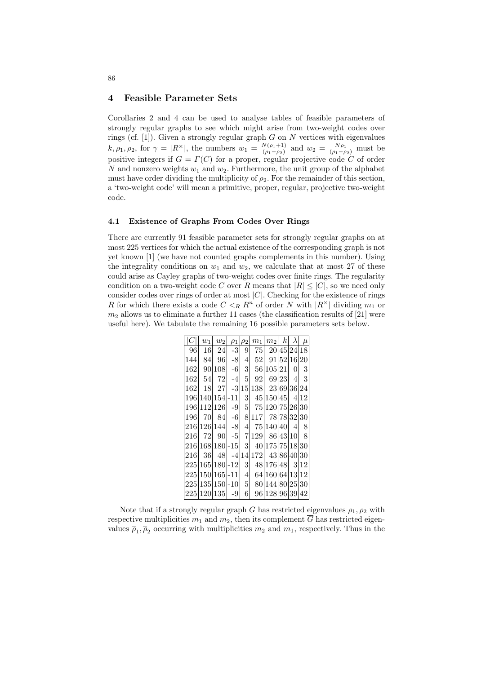# 4 Feasible Parameter Sets

Corollaries 2 and 4 can be used to analyse tables of feasible parameters of strongly regular graphs to see which might arise from two-weight codes over rings (cf. [1]). Given a strongly regular graph  $G$  on  $N$  vertices with eigenvalues  $k, \rho_1, \rho_2$ , for  $\gamma = |R^{\times}|$ , the numbers  $w_1 = \frac{N(\rho_1+1)}{(\rho_1-\rho_2)}$  $\frac{N(\rho_1+1)}{(\rho_1-\rho_2)}$  and  $w_2 = \frac{N\rho_1}{(\rho_1-\rho_2)}$  must be positive integers if  $G = \Gamma(C)$  for a proper, regular projective code C of order N and nonzero weights  $w_1$  and  $w_2$ . Furthermore, the unit group of the alphabet must have order dividing the multiplicity of  $\rho_2$ . For the remainder of this section, a 'two-weight code' will mean a primitive, proper, regular, projective two-weight code.

# 4.1 Existence of Graphs From Codes Over Rings

There are currently 91 feasible parameter sets for strongly regular graphs on at most 225 vertices for which the actual existence of the corresponding graph is not yet known [1] (we have not counted graphs complements in this number). Using the integrality conditions on  $w_1$  and  $w_2$ , we calculate that at most 27 of these could arise as Cayley graphs of two-weight codes over finite rings. The regularity condition on a two-weight code C over R means that  $|R| \leq |C|$ , so we need only consider codes over rings of order at most  $|C|$ . Checking for the existence of rings R for which there exists a code  $C <_R R^n$  of order N with  $|R^{\times}|$  dividing  $m_1$  or  $m_2$  allows us to eliminate a further 11 cases (the classification results of [21] were useful here). We tabulate the remaining 16 possible parameters sets below.

| C    | $w_1$ | $w_2$              | $\rho_1$ | $\rho_2$         | m <sub>1</sub>      | m <sub>2</sub>  | $\left k\right $ | $\lambda$      | $\mu$ |
|------|-------|--------------------|----------|------------------|---------------------|-----------------|------------------|----------------|-------|
| 96   | 16    | 24                 | $-3$     | 9                | 75                  |                 |                  | 20 45 24       | 18    |
| 144  | 84    | 96                 | $-8$     | 4                | 52                  | 91 52 16 20     |                  |                |       |
| 162  |       | 90 108             | $-6$     | $\boldsymbol{3}$ | 56                  | 105 21          |                  | 0              | 3     |
| 162  | 54    | 72                 | -4       | $\bf 5$          | 92                  |                 | 69 23            | 4              | 3     |
| 162  | 18    | 27                 |          | $-3 15 $         | 138                 | 23 69 36 24     |                  |                |       |
| 196  |       | 140 154 - 11       |          | 3                |                     | 45 150 45       |                  | $\overline{4}$ | 12    |
| 196  |       | 112 126            | $-9$     | $\overline{5}$   |                     | 75 120 75 26 30 |                  |                |       |
| 196  | 70    | 84                 | $-6$     | 8                | <b>117</b>          |                 |                  | 78 78 32 30    |       |
|      |       | 216 126 144        | $-8$     | $\overline{4}$   |                     | 75 140 40       |                  | $\overline{4}$ | 8     |
| 216  | 72    | 90                 | $-5$     | $\overline{7}$   | 129                 |                 | 86 43 10         |                | 8     |
|      |       | 216 168 180 - 15   |          | $\frac{3}{2}$    |                     | 40 175 75 18 30 |                  |                |       |
| 216  | -36   | -48                | $-4$     |                  | 14 172  43 86 40 30 |                 |                  |                |       |
|      |       | 225 165 180 - 12   |          | 3                |                     | 48 176 48       |                  | -3             | 12    |
| 2251 |       | $150 165 -11$      |          | $\overline{4}$   |                     | 64 160 64 13 12 |                  |                |       |
|      |       | $225 135 150 -10 $ |          | $\overline{5}$   |                     | 80 144 80 25 30 |                  |                |       |
|      |       | 225 120 135        | -9       | 6                |                     | 96 128 96 39    |                  |                | 42    |

Note that if a strongly regular graph G has restricted eigenvalues  $\rho_1, \rho_2$  with respective multiplicities  $m_1$  and  $m_2$ , then its complement G has restricted eigenvalues  $\bar{\rho}_1, \bar{\rho}_2$  occurring with multiplicities  $m_2$  and  $m_1$ , respectively. Thus in the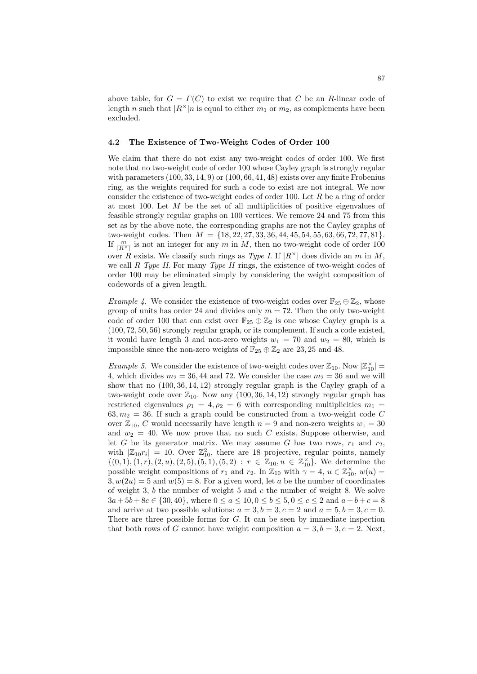above table, for  $G = \Gamma(C)$  to exist we require that C be an R-linear code of length n such that  $|R^{\times}|n$  is equal to either  $m_1$  or  $m_2$ , as complements have been excluded.

#### 4.2 The Existence of Two-Weight Codes of Order 100

We claim that there do not exist any two-weight codes of order 100. We first note that no two-weight code of order 100 whose Cayley graph is strongly regular with parameters  $(100, 33, 14, 9)$  or  $(100, 66, 41, 48)$  exists over any finite Frobenius ring, as the weights required for such a code to exist are not integral. We now consider the existence of two-weight codes of order 100. Let  $R$  be a ring of order at most 100. Let  $M$  be the set of all multiplicities of positive eigenvalues of feasible strongly regular graphs on 100 vertices. We remove 24 and 75 from this set as by the above note, the corresponding graphs are not the Cayley graphs of two-weight codes. Then  $M = \{18, 22, 27, 33, 36, 44, 45, 54, 55, 63, 66, 72, 77, 81\}.$ If  $\frac{m}{|R^{\times}|}$  is not an integer for any m in M, then no two-weight code of order 100 over R exists. We classify such rings as Type I. If  $|R^{\times}|$  does divide an m in M, we call R Type II. For many Type II rings, the existence of two-weight codes of order 100 may be eliminated simply by considering the weight composition of codewords of a given length.

Example 4. We consider the existence of two-weight codes over  $\mathbb{F}_{25} \oplus \mathbb{Z}_2$ , whose group of units has order 24 and divides only  $m = 72$ . Then the only two-weight code of order 100 that can exist over  $\mathbb{F}_{25} \oplus \mathbb{Z}_2$  is one whose Cayley graph is a (100, 72, 50, 56) strongly regular graph, or its complement. If such a code existed, it would have length 3 and non-zero weights  $w_1 = 70$  and  $w_2 = 80$ , which is impossible since the non-zero weights of  $\mathbb{F}_{25} \oplus \mathbb{Z}_{2}$  are 23, 25 and 48.

*Example 5.* We consider the existence of two-weight codes over  $\mathbb{Z}_{10}$ . Now  $|\mathbb{Z}_{10}^{\times}|$  = 4, which divides  $m_2 = 36, 44$  and 72. We consider the case  $m_2 = 36$  and we will show that no (100, 36, 14, 12) strongly regular graph is the Cayley graph of a two-weight code over  $\mathbb{Z}_{10}$ . Now any (100, 36, 14, 12) strongly regular graph has restricted eigenvalues  $\rho_1 = 4, \rho_2 = 6$  with corresponding multiplicities  $m_1 =$  $63, m<sub>2</sub> = 36$ . If such a graph could be constructed from a two-weight code C over  $\mathbb{Z}_{10}$ , C would necessarily have length  $n = 9$  and non-zero weights  $w_1 = 30$ and  $w_2 = 40$ . We now prove that no such C exists. Suppose otherwise, and let G be its generator matrix. We may assume G has two rows,  $r_1$  and  $r_2$ , with  $|\mathbb{Z}_{10}r_i| = 10$ . Over  $\mathbb{Z}_{10}^2$ , there are 18 projective, regular points, namely  $\{(0,1), (1, r), (2, u), (2, 5), (5, 1), (5, 2) : r \in \mathbb{Z}_{10}, u \in \mathbb{Z}_{10}^{\times}\}$ . We determine the possible weight compositions of  $r_1$  and  $r_2$ . In  $\mathbb{Z}_{10}$  with  $\gamma = 4$ ,  $u \in \mathbb{Z}_{10}^{\times}$ ,  $w(u) =$  $3, w(2u) = 5$  and  $w(5) = 8$ . For a given word, let a be the number of coordinates of weight 3, b the number of weight 5 and c the number of weight 8. We solve  $3a + 5b + 8c \in \{30, 40\}$ , where  $0 \le a \le 10$ ,  $0 \le b \le 5$ ,  $0 \le c \le 2$  and  $a + b + c = 8$ and arrive at two possible solutions:  $a = 3, b = 3, c = 2$  and  $a = 5, b = 3, c = 0$ . There are three possible forms for  $G$ . It can be seen by immediate inspection that both rows of G cannot have weight composition  $a = 3, b = 3, c = 2$ . Next,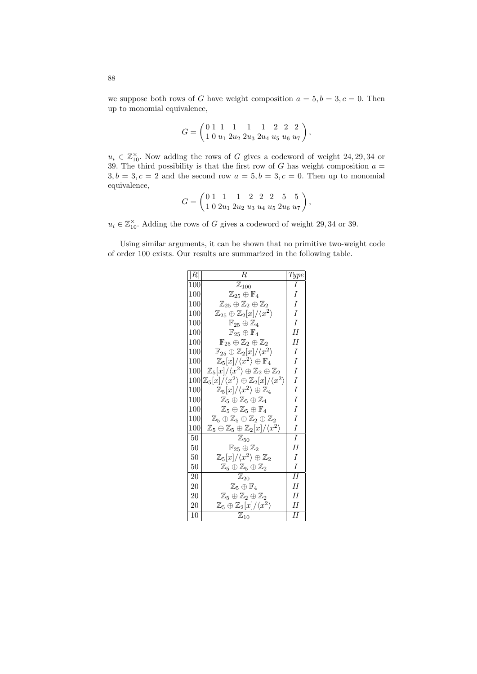we suppose both rows of G have weight composition  $a = 5, b = 3, c = 0$ . Then up to monomial equivalence,

$$
G=\left(\begin{matrix} 0 & 1 & 1 & 1 & 1 & 1 & 2 & 2 & 2 \\ 1 & 0 & u_1 & 2u_2 & 2u_3 & 2u_4 & u_5 & u_6 & u_7\end{matrix}\right),
$$

 $u_i \in \mathbb{Z}_{10}^{\times}$ . Now adding the rows of G gives a codeword of weight 24, 29, 34 or 39. The third possibility is that the first row of G has weight composition  $a =$  $3, b = 3, c = 2$  and the second row  $a = 5, b = 3, c = 0$ . Then up to monomial equivalence,  $\overline{\phantom{a}}$ 

$$
G = \begin{pmatrix} 0 & 1 & 1 & 1 & 2 & 2 & 2 & 5 & 5 \\ 1 & 0 & 2u_1 & 2u_2 & u_3 & u_4 & u_5 & 2u_6 & u_7 \end{pmatrix},
$$

 $u_i \in \mathbb{Z}_{10}^{\times}$ . Adding the rows of G gives a codeword of weight 29,34 or 39.

Using similar arguments, it can be shown that no primitive two-weight code of order 100 exists. Our results are summarized in the following table.

| R   | $_{\it R}$                                                                     | Type           |
|-----|--------------------------------------------------------------------------------|----------------|
| 100 | $\mathbb{Z}_{100}$                                                             | I              |
| 100 | $\mathbb{Z}_{25}\oplus\mathbb{F}_4$                                            | I              |
| 100 | $\mathbb{Z}_{25}\oplus\mathbb{Z}_2\oplus\mathbb{Z}_2$                          | I              |
| 100 | $\mathbb{Z}_{25}\oplus\mathbb{Z}_2[x]/\langle x^2\rangle$                      | I              |
| 100 | $\mathbb{F}_{25}\oplus\mathbb{Z}_4$                                            | $\overline{I}$ |
| 100 | $\mathbb{F}_{25} \oplus \mathbb{F}_4$                                          | II             |
| 100 | $\mathbb{F}_{25} \oplus \mathbb{Z}_2 \oplus \mathbb{Z}_2$                      | Н              |
| 100 | $\mathbb{F}_{25} \oplus \mathbb{Z}_2[x]/\langle x^2 \rangle$                   | I              |
| 100 | $\mathbb{Z}_5[x]/\langle x^2 \rangle \oplus \mathbb{F}_4$                      | I              |
| 100 | $\mathbb{Z}_5[x]/\langle x^2 \rangle \oplus \mathbb{Z}_2 \oplus \mathbb{Z}_2$  | I              |
| 100 | $\mathbb{Z}_5[x]/\langle x^2\rangle \oplus \mathbb{Z}_2[x]/\langle x^2\rangle$ | I              |
| 100 | $\mathbb{Z}_5[x]/\langle x^2 \rangle \oplus \mathbb{Z}_4$                      | I              |
| 100 | $\mathbb{Z}_5 \oplus \mathbb{Z}_5 \oplus \mathbb{Z}_4$                         | I              |
| 100 | $\mathbb{Z}_5\oplus\mathbb{Z}_5\oplus\mathbb{F}_4$                             | I              |
| 100 | $\mathbb{Z}_5 \oplus \mathbb{Z}_5 \oplus \mathbb{Z}_2 \oplus \mathbb{Z}_2$     | I              |
| 100 | $\mathbb{Z}_5\oplus\mathbb{Z}_5\oplus\mathbb{Z}_2[x]/\langle x^2\rangle$       | I              |
| 50  | $\mathbb{Z}_{50}$                                                              | I              |
| 50  | $\mathbb{F}_{25}\oplus\mathbb{Z}_2$                                            | II             |
| 50  | $\mathbb{Z}_5[x]/\langle x^2 \rangle \oplus \mathbb{Z}_2$                      | I              |
| 50  | $\mathbb{Z}_5\oplus\mathbb{Z}_5\oplus\mathbb{Z}_2$                             | I              |
| 20  | $\mathbb{Z}_{20}$                                                              | II             |
| 20  | $\mathbb{Z}_5\oplus\mathbb{F}_4$                                               | II             |
| 20  | $\mathbb{Z}_5\oplus\mathbb{Z}_2\oplus\mathbb{Z}_2$                             | H              |
| 20  | $\mathbb{Z}_5\oplus\mathbb{Z}_2[x]/\langle x^2\rangle$                         | H              |
| 10  | $\mathbb{Z}_{10}$                                                              | Н              |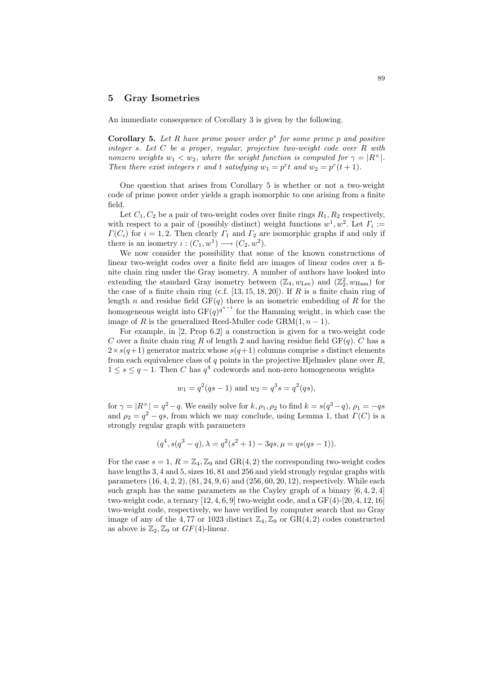# 5 Gray Isometries

An immediate consequence of Corollary 3 is given by the following.

**Corollary 5.** Let  $R$  have prime power order  $p^s$  for some prime  $p$  and positive integer s. Let  $C$  be a proper, regular, projective two-weight code over  $R$  with nonzero weights  $w_1 < w_2$ , where the weight function is computed for  $\gamma = |R^{\times}|$ . Then there exist integers r and t satisfying  $w_1 = p^r t$  and  $w_2 = p^r (t + 1)$ .

One question that arises from Corollary 5 is whether or not a two-weight code of prime power order yields a graph isomorphic to one arising from a finite field.

Let  $C_1, C_2$  be a pair of two-weight codes over finite rings  $R_1, R_2$  respectively, with respect to a pair of (possibly distinct) weight functions  $w^1, w^2$ . Let  $\Gamma_i :=$  $\Gamma(C_i)$  for  $i = 1, 2$ . Then clearly  $\Gamma_1$  and  $\Gamma_2$  are isomorphic graphs if and only if there is an isometry  $\iota: (C_1, w^1) \longrightarrow (C_2, w^2)$ .

We now consider the possibility that some of the known constructions of linear two-weight codes over a finite field are images of linear codes over a finite chain ring under the Gray isometry. A number of authors have looked into extending the standard Gray isometry between  $(\mathbb{Z}_4, w_{\text{Lee}})$  and  $(\mathbb{Z}_2^2, w_{\text{Ham}})$  for the case of a finite chain ring (c.f.  $[13, 15, 18, 20]$ ). If R is a finite chain ring of length n and residue field  $GF(q)$  there is an isometric embedding of R for the homogeneous weight into  $GF(q)^{q^{n-1}}$  for the Hamming weight, in which case the image of R is the generalized Reed-Muller code  $\text{GRM}(1, n-1)$ .

For example, in [2, Prop 6.2] a construction is given for a two-weight code C over a finite chain ring R of length 2 and having residue field  $GF(q)$ . C has a  $2 \times s(q+1)$  generator matrix whose  $s(q+1)$  columns comprise s distinct elements from each equivalence class of  $q$  points in the projective Hjelmslev plane over  $R$ ,  $1 \leq s \leq q-1$ . Then C has  $q^4$  codewords and non-zero homogeneous weights

$$
w_1 = q^2(qs - 1)
$$
 and  $w_2 = q^3s = q^2(qs)$ ,

for  $\gamma = |R^{\times}| = q^2 - q$ . We easily solve for  $k, \rho_1, \rho_2$  to find  $k = s(q^3 - q), \rho_1 = -qs$ and  $\rho_2 = q^2 - qs$ , from which we may conclude, using Lemma 1, that  $\Gamma(C)$  is a strongly regular graph with parameters

$$
(q^4, s(q^3-q), \lambda = q^2(s^2+1) - 3qs, \mu = qs(qs-1)).
$$

For the case  $s = 1, R = \mathbb{Z}_4, \mathbb{Z}_9$  and  $GR(4, 2)$  the corresponding two-weight codes have lengths 3, 4 and 5, sizes 16, 81 and 256 and yield strongly regular graphs with parameters  $(16, 4, 2, 2), (81, 24, 9, 6)$  and  $(256, 60, 20, 12)$ , respectively. While each such graph has the same parameters as the Cayley graph of a binary  $[6, 4, 2, 4]$ two-weight code, a ternary  $[12, 4, 6, 9]$  two-weight code, and a  $GF(4)$ - $[20, 4, 12, 16]$ two-weight code, respectively, we have verified by computer search that no Gray image of any of the 4,77 or 1023 distinct  $\mathbb{Z}_4, \mathbb{Z}_9$  or  $GR(4, 2)$  codes constructed as above is  $\mathbb{Z}_2$ ,  $\mathbb{Z}_9$  or  $GF(4)$ -linear.